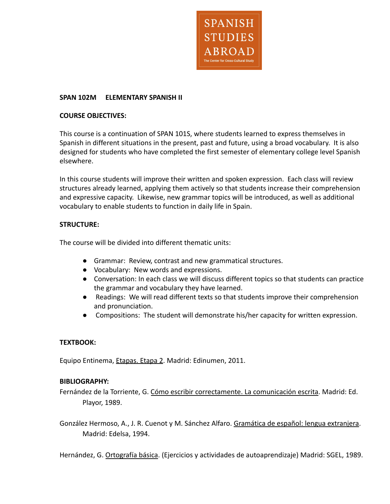

#### **SPAN 102M ELEMENTARY SPANISH II**

#### **COURSE OBJECTIVES:**

This course is a continuation of SPAN 101S, where students learned to express themselves in Spanish in different situations in the present, past and future, using a broad vocabulary. It is also designed for students who have completed the first semester of elementary college level Spanish elsewhere.

In this course students will improve their written and spoken expression. Each class will review structures already learned, applying them actively so that students increase their comprehension and expressive capacity. Likewise, new grammar topics will be introduced, as well as additional vocabulary to enable students to function in daily life in Spain.

# **STRUCTURE:**

The course will be divided into different thematic units:

- Grammar: Review, contrast and new grammatical structures.
- Vocabulary: New words and expressions.
- Conversation: In each class we will discuss different topics so that students can practice the grammar and vocabulary they have learned.
- Readings: We will read different texts so that students improve their comprehension and pronunciation.
- Compositions: The student will demonstrate his/her capacity for written expression.

# **TEXTBOOK:**

Equipo Entinema, Etapas. Etapa 2. Madrid: Edinumen, 2011.

# **BIBLIOGRAPHY:**

Fernández de la Torriente, G. Cómo escribir correctamente. La comunicación escrita. Madrid: Ed. Playor, 1989.

González Hermoso, A., J. R. Cuenot y M. Sánchez Alfaro. Gramática de español: lengua extranjera. Madrid: Edelsa, 1994.

Hernández, G. Ortografía básica. (Ejercicios y actividades de autoaprendizaje) Madrid: SGEL, 1989.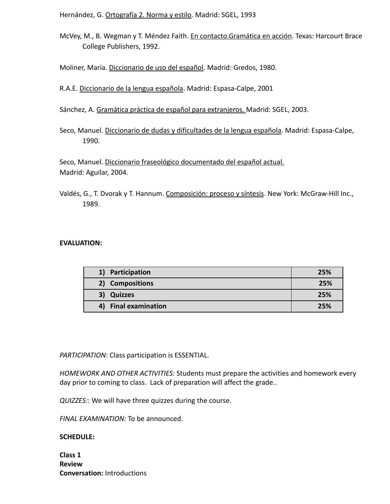Hernández, G. Ortografía 2. Norma y estilo. Madrid: SGEL, 1993

McVey, M., B. Wegman y T. Méndez Faith. En contacto. Gramática en acción. Texas: Harcourt Brace College Publishers, 1992.

Moliner, María. Diccionario de uso del español. Madrid: Gredos, 1980.

R.A.E. Diccionario de la lengua española. Madrid: Espasa-Calpe, 2001

Sánchez, A. Gramática práctica de español para extranjeros. Madrid: SGEL, 2003.

Seco, Manuel. Diccionario de dudas y dificultades de la lengua española. Madrid: Espasa-Calpe, 1990.

Seco, Manuel. Diccionario fraseológico documentado del español actual. Madrid: Aguilar, 2004.

Valdés, G., T. Dvorak y T. Hannum. Composición: proceso y síntesis. New York: McGraw-Hill Inc., 1989.

#### **EVALUATION:**

| 1) Participation     | 25% |
|----------------------|-----|
| 2) Compositions      | 25% |
| 3) Quizzes           | 25% |
| 4) Final examination | 25% |

*PARTICIPATION*: Class participation is ESSENTIAL.

*HOMEWORK AND OTHER ACTIVITIES:* Students must prepare the activities and homework every day prior to coming to class. Lack of preparation will affect the grade..

*QUIZZES:*: We will have three quizzes during the course.

*FINAL EXAMINATION:* To be announced.

#### **SCHEDULE:**

**Class 1 Review Conversation:** Introductions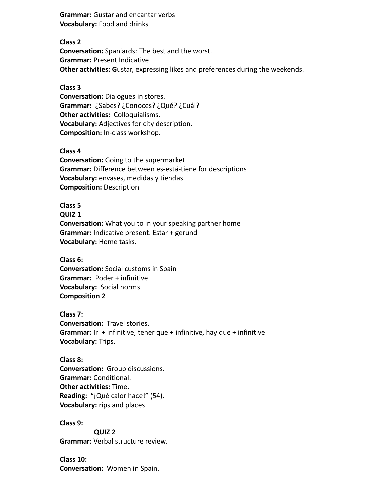**Grammar:** Gustar and encantar verbs **Vocabulary:** Food and drinks

**Class 2 Conversation:** Spaniards: The best and the worst. **Grammar:** Present Indicative **Other activities: G**ustar, expressing likes and preferences during the weekends.

### **Class 3**

**Conversation:** Dialogues in stores. **Grammar:** ¿Sabes? ¿Conoces? ¿Qué? ¿Cuál? **Other activities:** Colloquialisms. **Vocabulary:** Adjectives for city description. **Composition:** In-class workshop.

**Class 4**

**Conversation:** Going to the supermarket **Grammar:** Difference between es-está-tiene for descriptions **Vocabulary:** envases, medidas y tiendas **Composition:** Description

**Class 5 QUIZ 1 Conversation:** What you to in your speaking partner home **Grammar:** Indicative present. Estar + gerund **Vocabulary:** Home tasks.

**Class 6: Conversation:** Social customs in Spain **Grammar:** Poder + infinitive **Vocabulary:** Social norms **Composition 2**

**Class 7: Conversation:** Travel stories. **Grammar:** Ir + infinitive, tener que + infinitive, hay que + infinitive **Vocabulary:** Trips.

**Class 8: Conversation:** Group discussions. **Grammar:** Conditional. **Other activities:** Time. **Reading:** "¡Qué calor hace!" (54). **Vocabulary:** rips and places

**Class 9:**

**QUIZ 2 Grammar:** Verbal structure review.

**Class 10: Conversation:** Women in Spain.